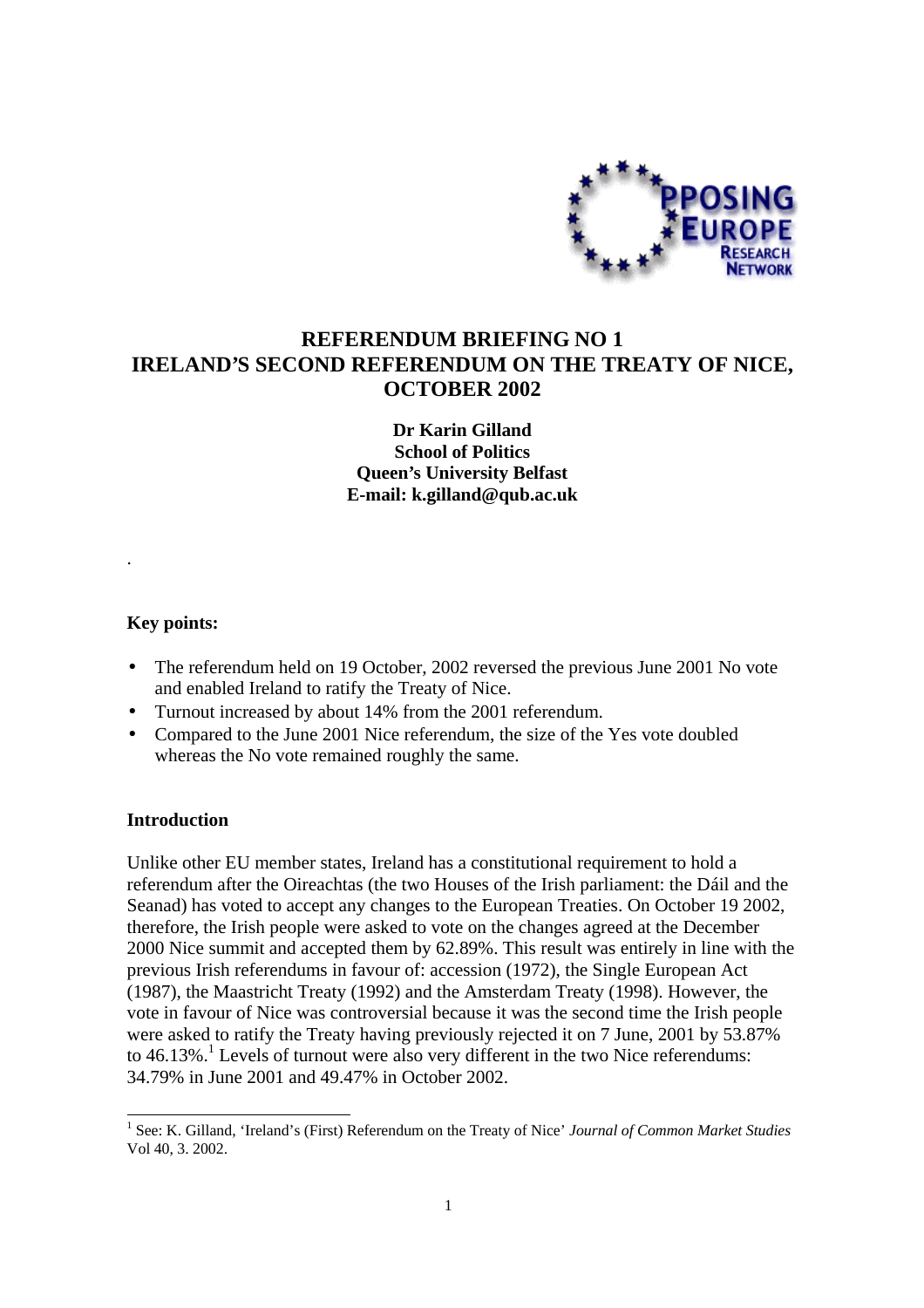

# **REFERENDUM BRIEFING NO 1 IRELAND'S SECOND REFERENDUM ON THE TREATY OF NICE, OCTOBER 2002**

**Dr Karin Gilland School of Politics Queen's University Belfast E-mail: k.gilland@qub.ac.uk**

### **Key points:**

.

- The referendum held on 19 October, 2002 reversed the previous June 2001 No vote and enabled Ireland to ratify the Treaty of Nice.
- Turnout increased by about 14% from the 2001 referendum.
- Compared to the June 2001 Nice referendum, the size of the Yes vote doubled whereas the No vote remained roughly the same.

### **Introduction**

 $\overline{a}$ 

Unlike other EU member states, Ireland has a constitutional requirement to hold a referendum after the Oireachtas (the two Houses of the Irish parliament: the Dáil and the Seanad) has voted to accept any changes to the European Treaties. On October 19 2002, therefore, the Irish people were asked to vote on the changes agreed at the December 2000 Nice summit and accepted them by 62.89%. This result was entirely in line with the previous Irish referendums in favour of: accession (1972), the Single European Act (1987), the Maastricht Treaty (1992) and the Amsterdam Treaty (1998). However, the vote in favour of Nice was controversial because it was the second time the Irish people were asked to ratify the Treaty having previously rejected it on 7 June, 2001 by 53.87% to  $46.13\%$ .<sup>1</sup> Levels of turnout were also very different in the two Nice referendums: 34.79% in June 2001 and 49.47% in October 2002.

<sup>&</sup>lt;sup>1</sup> See: K. Gilland, 'Ireland's (First) Referendum on the Treaty of Nice' *Journal of Common Market Studies* Vol 40, 3. 2002.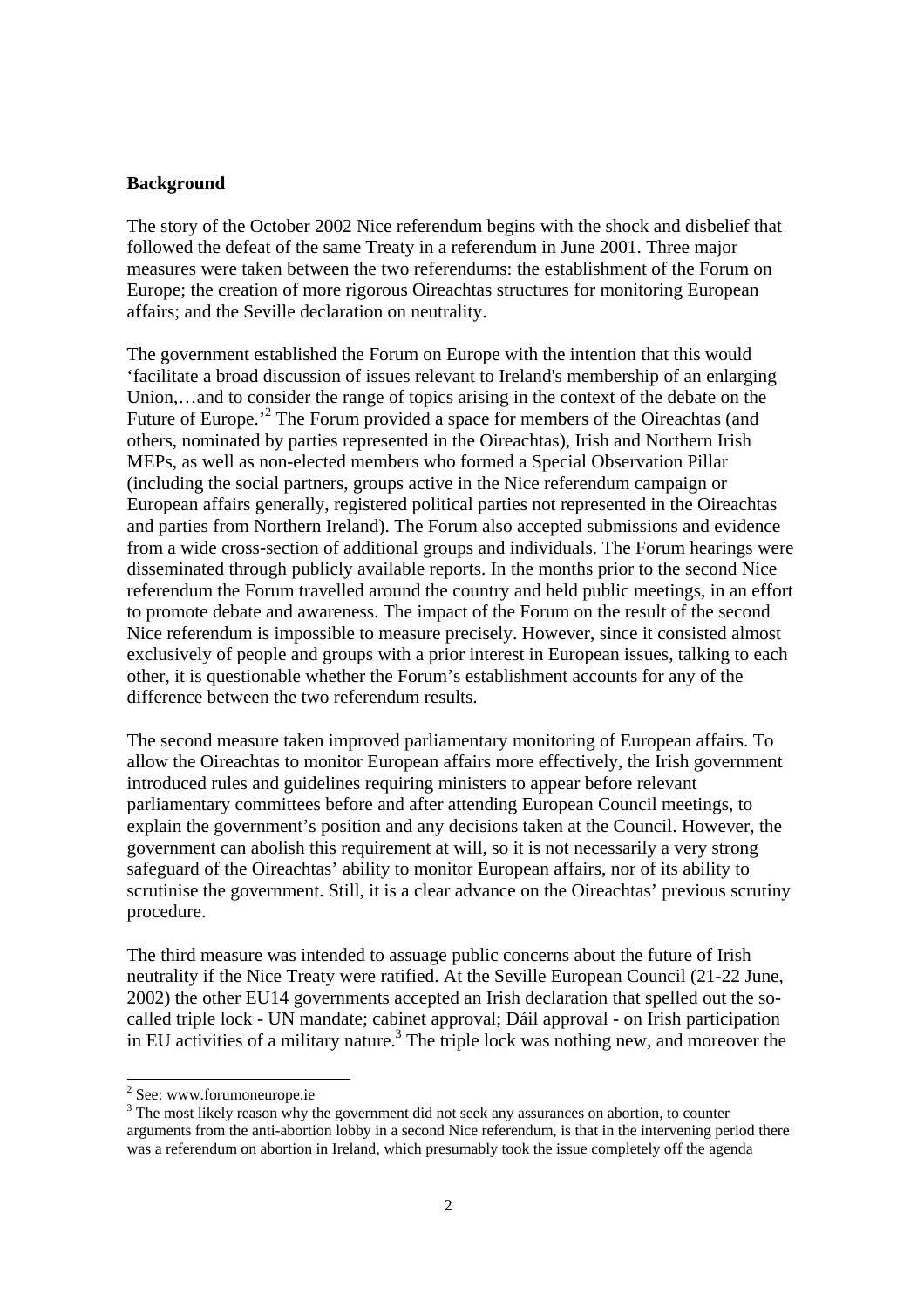#### **Background**

The story of the October 2002 Nice referendum begins with the shock and disbelief that followed the defeat of the same Treaty in a referendum in June 2001. Three major measures were taken between the two referendums: the establishment of the Forum on Europe; the creation of more rigorous Oireachtas structures for monitoring European affairs; and the Seville declaration on neutrality.

The government established the Forum on Europe with the intention that this would 'facilitate a broad discussion of issues relevant to Ireland's membership of an enlarging Union,…and to consider the range of topics arising in the context of the debate on the Future of Europe.<sup>2</sup> The Forum provided a space for members of the Oireachtas (and others, nominated by parties represented in the Oireachtas), Irish and Northern Irish MEPs, as well as non-elected members who formed a Special Observation Pillar (including the social partners, groups active in the Nice referendum campaign or European affairs generally, registered political parties not represented in the Oireachtas and parties from Northern Ireland). The Forum also accepted submissions and evidence from a wide cross-section of additional groups and individuals. The Forum hearings were disseminated through publicly available reports. In the months prior to the second Nice referendum the Forum travelled around the country and held public meetings, in an effort to promote debate and awareness. The impact of the Forum on the result of the second Nice referendum is impossible to measure precisely. However, since it consisted almost exclusively of people and groups with a prior interest in European issues, talking to each other, it is questionable whether the Forum's establishment accounts for any of the difference between the two referendum results.

The second measure taken improved parliamentary monitoring of European affairs. To allow the Oireachtas to monitor European affairs more effectively, the Irish government introduced rules and guidelines requiring ministers to appear before relevant parliamentary committees before and after attending European Council meetings, to explain the government's position and any decisions taken at the Council. However, the government can abolish this requirement at will, so it is not necessarily a very strong safeguard of the Oireachtas' ability to monitor European affairs, nor of its ability to scrutinise the government. Still, it is a clear advance on the Oireachtas' previous scrutiny procedure.

The third measure was intended to assuage public concerns about the future of Irish neutrality if the Nice Treaty were ratified. At the Seville European Council (21-22 June, 2002) the other EU14 governments accepted an Irish declaration that spelled out the socalled triple lock - UN mandate; cabinet approval; Dáil approval - on Irish participation in EU activities of a military nature.<sup>3</sup> The triple lock was nothing new, and moreover the

<sup>&</sup>lt;sup>2</sup> See: www.forumoneurope.ie

 $3$  The most likely reason why the government did not seek any assurances on abortion, to counter arguments from the anti-abortion lobby in a second Nice referendum, is that in the intervening period there was a referendum on abortion in Ireland, which presumably took the issue completely off the agenda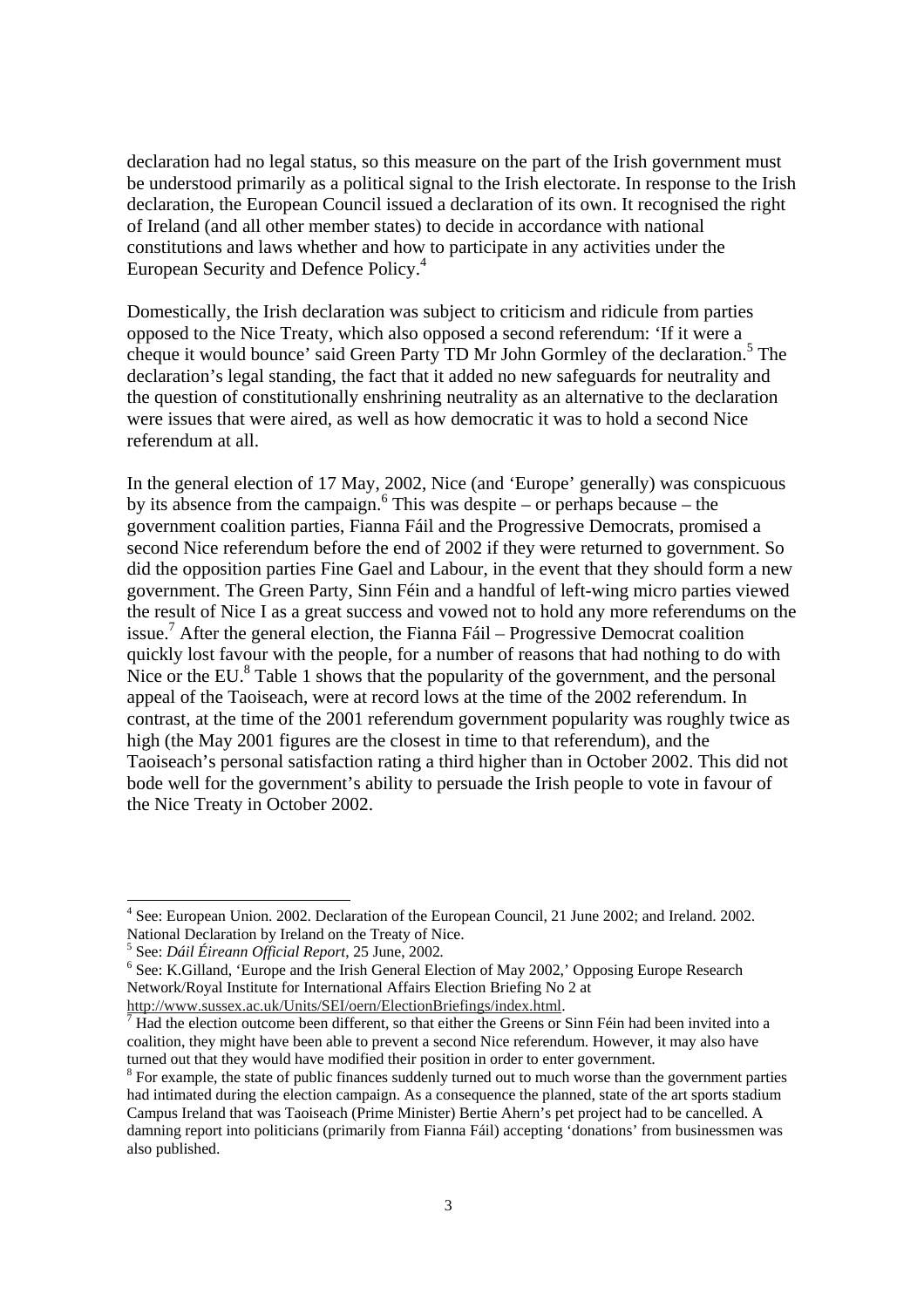declaration had no legal status, so this measure on the part of the Irish government must be understood primarily as a political signal to the Irish electorate. In response to the Irish declaration, the European Council issued a declaration of its own. It recognised the right of Ireland (and all other member states) to decide in accordance with national constitutions and laws whether and how to participate in any activities under the European Security and Defence Policy.<sup>4</sup>

Domestically, the Irish declaration was subject to criticism and ridicule from parties opposed to the Nice Treaty, which also opposed a second referendum: 'If it were a cheque it would bounce' said Green Party TD Mr John Gormley of the declaration.<sup>5</sup> The declaration's legal standing, the fact that it added no new safeguards for neutrality and the question of constitutionally enshrining neutrality as an alternative to the declaration were issues that were aired, as well as how democratic it was to hold a second Nice referendum at all.

In the general election of 17 May, 2002, Nice (and 'Europe' generally) was conspicuous by its absence from the campaign.<sup>6</sup> This was despite – or perhaps because – the government coalition parties, Fianna Fáil and the Progressive Democrats, promised a second Nice referendum before the end of 2002 if they were returned to government. So did the opposition parties Fine Gael and Labour, in the event that they should form a new government. The Green Party, Sinn Féin and a handful of left-wing micro parties viewed the result of Nice I as a great success and vowed not to hold any more referendums on the issue.7 After the general election, the Fianna Fáil – Progressive Democrat coalition quickly lost favour with the people, for a number of reasons that had nothing to do with Nice or the EU. $8$  Table 1 shows that the popularity of the government, and the personal appeal of the Taoiseach, were at record lows at the time of the 2002 referendum. In contrast, at the time of the 2001 referendum government popularity was roughly twice as high (the May 2001 figures are the closest in time to that referendum), and the Taoiseach's personal satisfaction rating a third higher than in October 2002. This did not bode well for the government's ability to persuade the Irish people to vote in favour of the Nice Treaty in October 2002.

<sup>&</sup>lt;sup>4</sup> See: European Union. 2002. Declaration of the European Council, 21 June 2002; and Ireland. 2002. National Declaration by Ireland on the Treaty of Nice.

<sup>&</sup>lt;sup>5</sup> See: *Dáil Éireann Official Report*, 25 June, 2002.<br><sup>6</sup> See: *K* Gilland, 'Europe and the Irish General Ele

 $<sup>6</sup>$  See: K.Gilland, 'Europe and the Irish General Election of May 2002,' Opposing Europe Research</sup> Network/Royal Institute for International Affairs Election Briefing No 2 at

http://www.sussex.ac.uk/Units/SEI/oern/ElectionBriefings/index.html. <sup>7</sup>

Had the election outcome been different, so that either the Greens or Sinn Féin had been invited into a coalition, they might have been able to prevent a second Nice referendum. However, it may also have turned out that they would have modified their position in order to enter government.

<sup>&</sup>lt;sup>8</sup> For example, the state of public finances suddenly turned out to much worse than the government parties had intimated during the election campaign. As a consequence the planned, state of the art sports stadium Campus Ireland that was Taoiseach (Prime Minister) Bertie Ahern's pet project had to be cancelled. A damning report into politicians (primarily from Fianna Fáil) accepting 'donations' from businessmen was also published.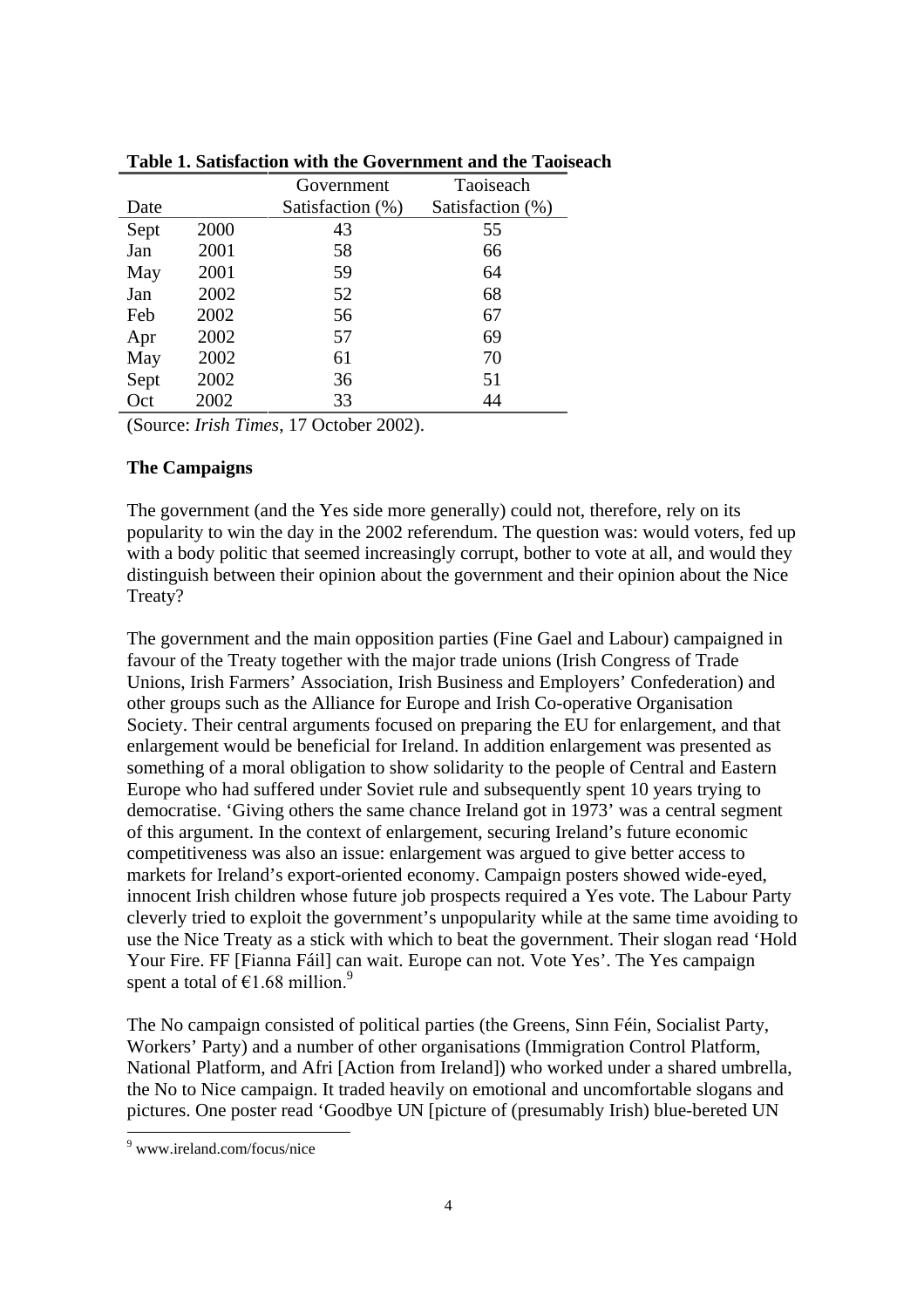|      |      | Taoiseach<br>Government |                  |
|------|------|-------------------------|------------------|
| Date |      | Satisfaction (%)        | Satisfaction (%) |
| Sept | 2000 | 43                      | 55               |
| Jan  | 2001 | 58                      | 66               |
| May  | 2001 | 59                      | 64               |
| Jan  | 2002 | 52                      | 68               |
| Feb  | 2002 | 56                      | 67               |
| Apr  | 2002 | 57                      | 69               |
| May  | 2002 | 61                      | 70               |
| Sept | 2002 | 36                      | 51               |
| Oct  | 2002 | 33                      | 44               |

**Table 1. Satisfaction with the Government and the Taoiseach**

(Source: *Irish Times*, 17 October 2002).

### **The Campaigns**

The government (and the Yes side more generally) could not, therefore, rely on its popularity to win the day in the 2002 referendum. The question was: would voters, fed up with a body politic that seemed increasingly corrupt, bother to vote at all, and would they distinguish between their opinion about the government and their opinion about the Nice Treaty?

The government and the main opposition parties (Fine Gael and Labour) campaigned in favour of the Treaty together with the major trade unions (Irish Congress of Trade Unions, Irish Farmers' Association, Irish Business and Employers' Confederation) and other groups such as the Alliance for Europe and Irish Co-operative Organisation Society. Their central arguments focused on preparing the EU for enlargement, and that enlargement would be beneficial for Ireland. In addition enlargement was presented as something of a moral obligation to show solidarity to the people of Central and Eastern Europe who had suffered under Soviet rule and subsequently spent 10 years trying to democratise. 'Giving others the same chance Ireland got in 1973' was a central segment of this argument. In the context of enlargement, securing Ireland's future economic competitiveness was also an issue: enlargement was argued to give better access to markets for Ireland's export-oriented economy. Campaign posters showed wide-eyed, innocent Irish children whose future job prospects required a Yes vote. The Labour Party cleverly tried to exploit the government's unpopularity while at the same time avoiding to use the Nice Treaty as a stick with which to beat the government. Their slogan read 'Hold Your Fire. FF [Fianna Fáil] can wait. Europe can not. Vote Yes'. The Yes campaign spent a total of  $\epsilon$ 1.68 million.<sup>9</sup>

The No campaign consisted of political parties (the Greens, Sinn Féin, Socialist Party, Workers' Party) and a number of other organisations (Immigration Control Platform, National Platform, and Afri [Action from Ireland]) who worked under a shared umbrella, the No to Nice campaign. It traded heavily on emotional and uncomfortable slogans and pictures. One poster read 'Goodbye UN [picture of (presumably Irish) blue-bereted UN

<sup>9</sup> www.ireland.com/focus/nice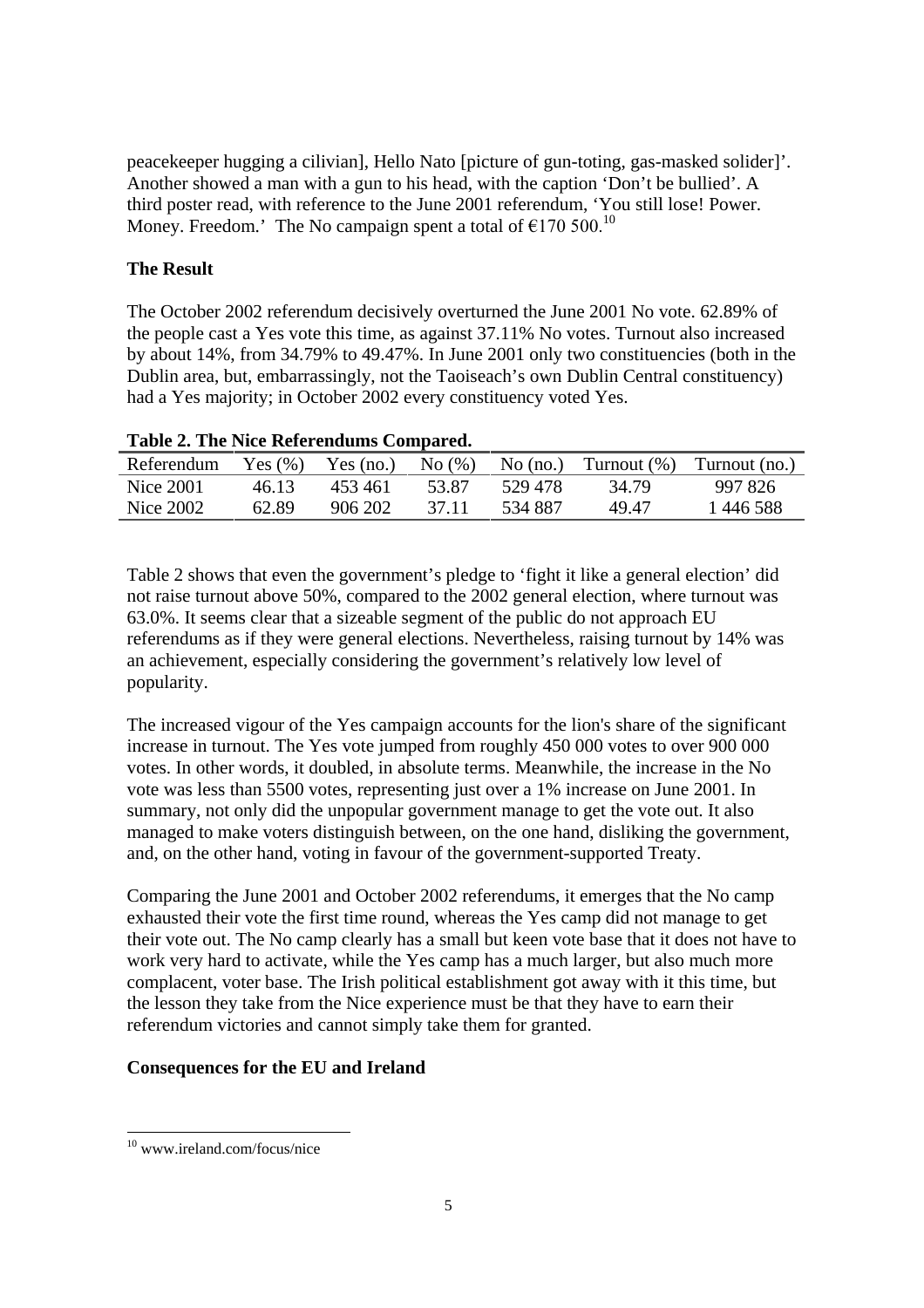peacekeeper hugging a cilivian], Hello Nato [picture of gun-toting, gas-masked solider]'. Another showed a man with a gun to his head, with the caption 'Don't be bullied'. A third poster read, with reference to the June 2001 referendum, 'You still lose! Power. Money. Freedom.' The No campaign spent a total of  $\epsilon$ 170 500.<sup>10</sup>

## **The Result**

The October 2002 referendum decisively overturned the June 2001 No vote. 62.89% of the people cast a Yes vote this time, as against 37.11% No votes. Turnout also increased by about 14%, from 34.79% to 49.47%. In June 2001 only two constituencies (both in the Dublin area, but, embarrassingly, not the Taoiseach's own Dublin Central constituency) had a Yes majority; in October 2002 every constituency voted Yes.

| Table 2. The Fried Kelet chaums Compared. |       |         |       |          |       |                                                                            |  |  |  |
|-------------------------------------------|-------|---------|-------|----------|-------|----------------------------------------------------------------------------|--|--|--|
| Referendum                                |       |         |       |          |       | Yes $(\%)$ Yes $(no.)$ No $(\%)$ No $(no.)$ Turnout $(\%)$ Turnout $(no.)$ |  |  |  |
| Nice 2001                                 | 46.13 | 453461  | 53.87 | 529.478  | 34.79 | 997 826                                                                    |  |  |  |
| Nice 2002                                 | 62.89 | 906 202 | 37.11 | -534 887 | 49.47 | 1446588                                                                    |  |  |  |

## **Table 2. The Nice Referendums Compared.**

Table 2 shows that even the government's pledge to 'fight it like a general election' did not raise turnout above 50%, compared to the 2002 general election, where turnout was 63.0%. It seems clear that a sizeable segment of the public do not approach EU referendums as if they were general elections. Nevertheless, raising turnout by 14% was an achievement, especially considering the government's relatively low level of popularity.

The increased vigour of the Yes campaign accounts for the lion's share of the significant increase in turnout. The Yes vote jumped from roughly 450 000 votes to over 900 000 votes. In other words, it doubled, in absolute terms. Meanwhile, the increase in the No vote was less than 5500 votes, representing just over a 1% increase on June 2001. In summary, not only did the unpopular government manage to get the vote out. It also managed to make voters distinguish between, on the one hand, disliking the government, and, on the other hand, voting in favour of the government-supported Treaty.

Comparing the June 2001 and October 2002 referendums, it emerges that the No camp exhausted their vote the first time round, whereas the Yes camp did not manage to get their vote out. The No camp clearly has a small but keen vote base that it does not have to work very hard to activate, while the Yes camp has a much larger, but also much more complacent, voter base. The Irish political establishment got away with it this time, but the lesson they take from the Nice experience must be that they have to earn their referendum victories and cannot simply take them for granted.

## **Consequences for the EU and Ireland**

<sup>10</sup> www.ireland.com/focus/nice